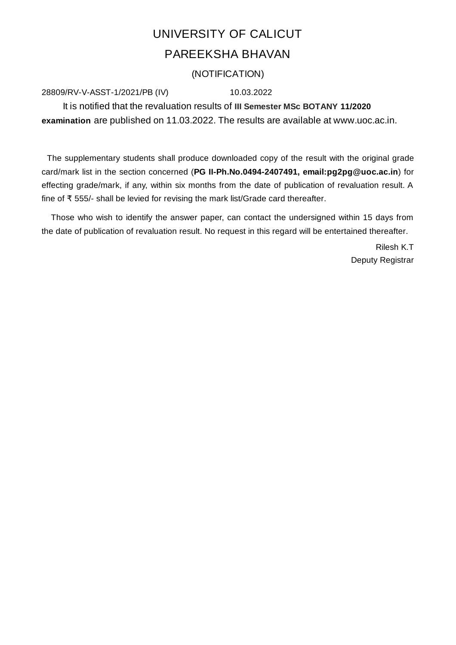## UNIVERSITY OF CALICUT PAREEKSHA BHAVAN

## (NOTIFICATION)

## 28809/RV-V-ASST-1/2021/PB (IV) 10.03.2022

It is notified that the revaluation results of **III Semester MSc BOTANY 11/2020 examination** are published on 11.03.2022. The results are available at www.uoc.ac.in.

The supplementary students shall produce downloaded copy of the result with the original grade card/mark list in the section concerned (**PG II-Ph.No.0494-2407491, email:pg2pg@uoc.ac.in**) for effecting grade/mark, if any, within six months from the date of publication of revaluation result. A fine of ₹ 555/- shall be levied for revising the mark list/Grade card thereafter.

Those who wish to identify the answer paper, can contact the undersigned within 15 days from the date of publication of revaluation result. No request in this regard will be entertained thereafter.

> Rilesh K.T Deputy Registrar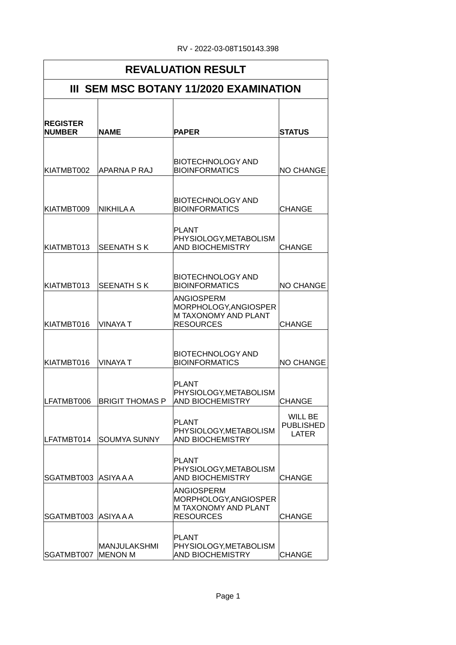| <b>REVALUATION RESULT</b>              |                                |                                                                                                                                      |                                             |  |  |
|----------------------------------------|--------------------------------|--------------------------------------------------------------------------------------------------------------------------------------|---------------------------------------------|--|--|
| III SEM MSC BOTANY 11/2020 EXAMINATION |                                |                                                                                                                                      |                                             |  |  |
| <b>REGISTER</b><br><b>NUMBER</b>       | <b>NAME</b>                    | <b>PAPER</b>                                                                                                                         | <b>STATUS</b>                               |  |  |
| KIATMBT002                             | <b>APARNA P RAJ</b>            | <b>BIOTECHNOLOGY AND</b><br><b>BIOINFORMATICS</b>                                                                                    | <b>NO CHANGE</b>                            |  |  |
| KIATMBT009                             | NIKHILA A                      | <b>BIOTECHNOLOGY AND</b><br><b>BIOINFORMATICS</b>                                                                                    | <b>CHANGE</b>                               |  |  |
| KIATMBT013                             | <b>SEENATH SK</b>              | <b>PLANT</b><br>PHYSIOLOGY, METABOLISM<br><b>AND BIOCHEMISTRY</b>                                                                    | <b>CHANGE</b>                               |  |  |
| KIATMBT013<br>KIATMBT016               | <b>SEENATH SK</b><br>VINAYA T  | <b>BIOTECHNOLOGY AND</b><br><b>BIOINFORMATICS</b><br>ANGIOSPERM<br>MORPHOLOGY, ANGIOSPER<br>M TAXONOMY AND PLANT<br><b>RESOURCES</b> | <b>NO CHANGE</b><br><b>CHANGE</b>           |  |  |
| KIATMBT016                             | <b>VINAYA T</b>                | <b>BIOTECHNOLOGY AND</b><br><b>BIOINFORMATICS</b>                                                                                    | <b>NO CHANGE</b>                            |  |  |
| LFATMBT006                             | <b>BRIGIT THOMAS P</b>         | <b>PLANT</b><br>PHYSIOLOGY, METABOLISM<br>AND BIOCHEMISTRY                                                                           | <b>CHANGE</b>                               |  |  |
| LFATMBT014                             | <b>SOUMYA SUNNY</b>            | <b>PLANT</b><br>PHYSIOLOGY, METABOLISM<br><b>AND BIOCHEMISTRY</b>                                                                    | WILL BE<br><b>PUBLISHED</b><br><b>LATER</b> |  |  |
| SGATMBT003 ASIYAAA                     |                                | <b>PLANT</b><br>PHYSIOLOGY, METABOLISM<br><b>AND BIOCHEMISTRY</b>                                                                    | <b>CHANGE</b>                               |  |  |
| SGATMBT003 ASIYAAA                     |                                | <b>ANGIOSPERM</b><br>MORPHOLOGY, ANGIOSPER<br>M TAXONOMY AND PLANT<br><b>RESOURCES</b>                                               | <b>CHANGE</b>                               |  |  |
| SGATMBT007                             | MANJULAKSHMI<br><b>MENON M</b> | PLANT<br>PHYSIOLOGY, METABOLISM<br><b>AND BIOCHEMISTRY</b>                                                                           | <b>CHANGE</b>                               |  |  |